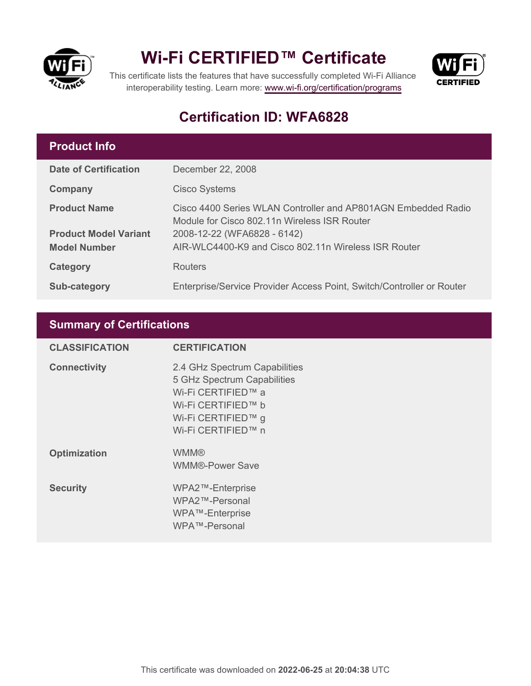

## **Wi-Fi CERTIFIED™ Certificate**



This certificate lists the features that have successfully completed Wi-Fi Alliance interoperability testing. Learn more:<www.wi-fi.org/certification/programs>

### **Certification ID: WFA6828**

#### **Product Info**

| <b>Date of Certification</b> | December 22, 2008                                                                                             |
|------------------------------|---------------------------------------------------------------------------------------------------------------|
| Company                      | <b>Cisco Systems</b>                                                                                          |
| <b>Product Name</b>          | Cisco 4400 Series WLAN Controller and AP801AGN Embedded Radio<br>Module for Cisco 802.11n Wireless ISR Router |
| <b>Product Model Variant</b> | 2008-12-22 (WFA6828 - 6142)                                                                                   |
| <b>Model Number</b>          | AIR-WLC4400-K9 and Cisco 802.11n Wireless ISR Router                                                          |
| Category                     | <b>Routers</b>                                                                                                |
| <b>Sub-category</b>          | Enterprise/Service Provider Access Point, Switch/Controller or Router                                         |

#### **Summary of Certifications**

| <b>CLASSIFICATION</b> | <b>CERTIFICATION</b>                                                                                                                                 |
|-----------------------|------------------------------------------------------------------------------------------------------------------------------------------------------|
| <b>Connectivity</b>   | 2.4 GHz Spectrum Capabilities<br>5 GHz Spectrum Capabilities<br>Wi-Fi CERTIFIED™ a<br>Wi-Fi CERTIFIED™ b<br>Wi-Fi CERTIFIED™ g<br>Wi-Fi CERTIFIED™ n |
| <b>Optimization</b>   | <b>WMM®</b><br><b>WMM®-Power Save</b>                                                                                                                |
| <b>Security</b>       | WPA2™-Enterprise<br>WPA2™-Personal<br>WPA™-Enterprise<br>WPA™-Personal                                                                               |